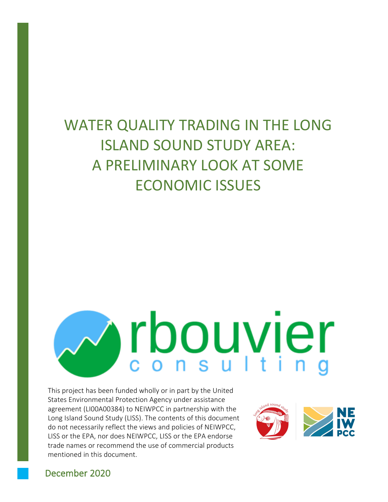# WATER QUALITY TRADING IN THE LONG ISLAND SOUND STUDY AREA: A PRELIMINARY LOOK AT SOME ECONOMIC ISSUES

# rbouvier

This project has been funded wholly or in part by the United States Environmental Protection Agency under assistance agreement (LI00A00384) to NEIWPCC in partnership with the Long Island Sound Study (LISS). The contents of this document do not necessarily reflect the views and policies of NEIWPCC, LISS or the EPA, nor does NEIWPCC, LISS or the EPA endorse trade names or recommend the use of commercial products mentioned in this document.



# December 2020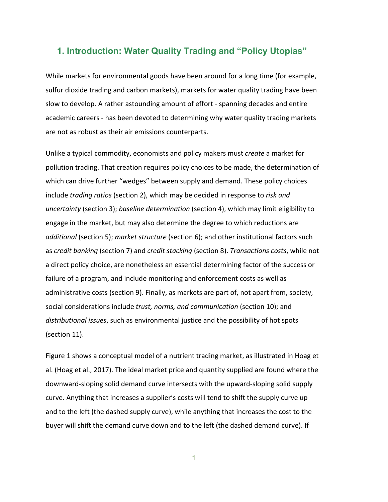# **1. Introduction: Water Quality Trading and "Policy Utopias"**

While markets for environmental goods have been around for a long time (for example, sulfur dioxide trading and carbon markets), markets for water quality trading have been slow to develop. A rather astounding amount of effort - spanning decades and entire academic careers - has been devoted to determining why water quality trading markets are not as robust as their air emissions counterparts.

Unlike a typical commodity, economists and policy makers must *create* a market for pollution trading. That creation requires policy choices to be made, the determination of which can drive further "wedges" between supply and demand. These policy choices include *trading ratios* (section 2), which may be decided in response to *risk and uncertainty* (section 3); *baseline determination* (section 4), which may limit eligibility to engage in the market, but may also determine the degree to which reductions are *additional* (section 5); *market structure* (section 6); and other institutional factors such as *credit banking* (section 7) and *credit stacking* (section 8). *Transactions costs*, while not a direct policy choice, are nonetheless an essential determining factor of the success or failure of a program, and include monitoring and enforcement costs as well as administrative costs (section 9). Finally, as markets are part of, not apart from, society, social considerations include *trust, norms, and communication* (section 10); and *distributional issues*, such as environmental justice and the possibility of hot spots (section 11).

Figure 1 shows a conceptual model of a nutrient trading market, as illustrated in Hoag et al. (Hoag et al., 2017). The ideal market price and quantity supplied are found where the downward-sloping solid demand curve intersects with the upward-sloping solid supply curve. Anything that increases a supplier's costs will tend to shift the supply curve up and to the left (the dashed supply curve), while anything that increases the cost to the buyer will shift the demand curve down and to the left (the dashed demand curve). If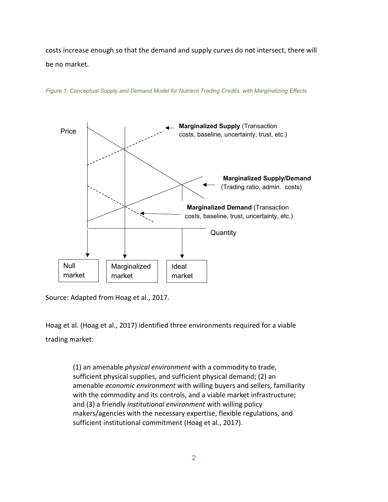costs increase enough so that the demand and supply curves do not intersect, there will be no market.



*Figure 1: Conceptual Supply and Demand Model for Nutrient Trading Credits, with Marginalizing Effects*

Source: Adapted from Hoag et al., 2017.

Hoag et al. (Hoag et al., 2017) identified three environments required for a viable trading market:

> (1) an amenable *physical environment* with a commodity to trade, sufficient physical supplies, and sufficient physical demand; (2) an amenable *economic environment* with willing buyers and sellers, familiarity with the commodity and its controls, and a viable market infrastructure; and (3) a friendly *institutional environment* with willing policy makers/agencies with the necessary expertise, flexible regulations, and sufficient institutional commitment (Hoag et al., 2017).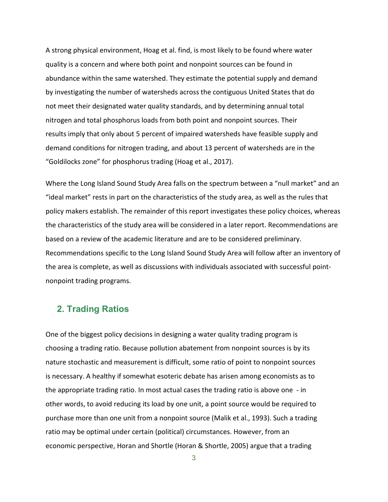A strong physical environment, Hoag et al. find, is most likely to be found where water quality is a concern and where both point and nonpoint sources can be found in abundance within the same watershed. They estimate the potential supply and demand by investigating the number of watersheds across the contiguous United States that do not meet their designated water quality standards, and by determining annual total nitrogen and total phosphorus loads from both point and nonpoint sources. Their results imply that only about 5 percent of impaired watersheds have feasible supply and demand conditions for nitrogen trading, and about 13 percent of watersheds are in the "Goldilocks zone" for phosphorus trading (Hoag et al., 2017).

Where the Long Island Sound Study Area falls on the spectrum between a "null market" and an "ideal market" rests in part on the characteristics of the study area, as well as the rules that policy makers establish. The remainder of this report investigates these policy choices, whereas the characteristics of the study area will be considered in a later report. Recommendations are based on a review of the academic literature and are to be considered preliminary. Recommendations specific to the Long Island Sound Study Area will follow after an inventory of the area is complete, as well as discussions with individuals associated with successful pointnonpoint trading programs.

# **2. Trading Ratios**

One of the biggest policy decisions in designing a water quality trading program is choosing a trading ratio. Because pollution abatement from nonpoint sources is by its nature stochastic and measurement is difficult, some ratio of point to nonpoint sources is necessary. A healthy if somewhat esoteric debate has arisen among economists as to the appropriate trading ratio. In most actual cases the trading ratio is above one - in other words, to avoid reducing its load by one unit, a point source would be required to purchase more than one unit from a nonpoint source (Malik et al., 1993). Such a trading ratio may be optimal under certain (political) circumstances. However, from an economic perspective, Horan and Shortle (Horan & Shortle, 2005) argue that a trading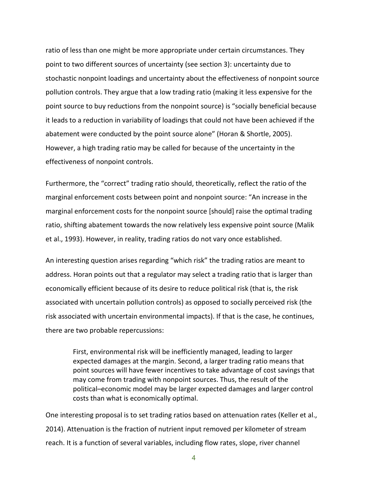ratio of less than one might be more appropriate under certain circumstances. They point to two different sources of uncertainty (see section 3): uncertainty due to stochastic nonpoint loadings and uncertainty about the effectiveness of nonpoint source pollution controls. They argue that a low trading ratio (making it less expensive for the point source to buy reductions from the nonpoint source) is "socially beneficial because it leads to a reduction in variability of loadings that could not have been achieved if the abatement were conducted by the point source alone" (Horan & Shortle, 2005). However, a high trading ratio may be called for because of the uncertainty in the effectiveness of nonpoint controls.

Furthermore, the "correct" trading ratio should, theoretically, reflect the ratio of the marginal enforcement costs between point and nonpoint source: "An increase in the marginal enforcement costs for the nonpoint source [should] raise the optimal trading ratio, shifting abatement towards the now relatively less expensive point source (Malik et al., 1993). However, in reality, trading ratios do not vary once established.

An interesting question arises regarding "which risk" the trading ratios are meant to address. Horan points out that a regulator may select a trading ratio that is larger than economically efficient because of its desire to reduce political risk (that is, the risk associated with uncertain pollution controls) as opposed to socially perceived risk (the risk associated with uncertain environmental impacts). If that is the case, he continues, there are two probable repercussions:

First, environmental risk will be inefficiently managed, leading to larger expected damages at the margin. Second, a larger trading ratio means that point sources will have fewer incentives to take advantage of cost savings that may come from trading with nonpoint sources. Thus, the result of the political–economic model may be larger expected damages and larger control costs than what is economically optimal.

One interesting proposal is to set trading ratios based on attenuation rates (Keller et al., 2014). Attenuation is the fraction of nutrient input removed per kilometer of stream reach. It is a function of several variables, including flow rates, slope, river channel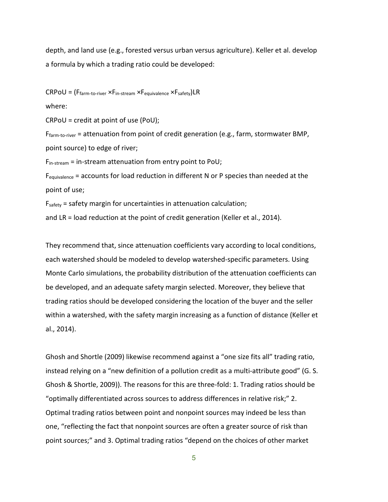depth, and land use (e.g., forested versus urban versus agriculture). Keller et al. develop a formula by which a trading ratio could be developed:

 $CRPOU = (F<sub>farm-to-river</sub> × F<sub>in-stream</sub> × F<sub>equivalence</sub> × F<sub>safety</sub>)LR$ 

where:

CRPoU = credit at point of use (PoU);

 $F_{\text{farm-to-river}}$  = attenuation from point of credit generation (e.g., farm, stormwater BMP, point source) to edge of river;

 $F_{in-stream}$  = in-stream attenuation from entry point to PoU;

Fequivalence = accounts for load reduction in different N or P species than needed at the point of use;

Fsafety = safety margin for uncertainties in attenuation calculation;

and LR = load reduction at the point of credit generation (Keller et al., 2014).

They recommend that, since attenuation coefficients vary according to local conditions, each watershed should be modeled to develop watershed-specific parameters. Using Monte Carlo simulations, the probability distribution of the attenuation coefficients can be developed, and an adequate safety margin selected. Moreover, they believe that trading ratios should be developed considering the location of the buyer and the seller within a watershed, with the safety margin increasing as a function of distance (Keller et al., 2014).

Ghosh and Shortle (2009) likewise recommend against a "one size fits all" trading ratio, instead relying on a "new definition of a pollution credit as a multi-attribute good" (G. S. Ghosh & Shortle, 2009)). The reasons for this are three-fold: 1. Trading ratios should be "optimally differentiated across sources to address differences in relative risk;" 2. Optimal trading ratios between point and nonpoint sources may indeed be less than one, "reflecting the fact that nonpoint sources are often a greater source of risk than point sources;" and 3. Optimal trading ratios "depend on the choices of other market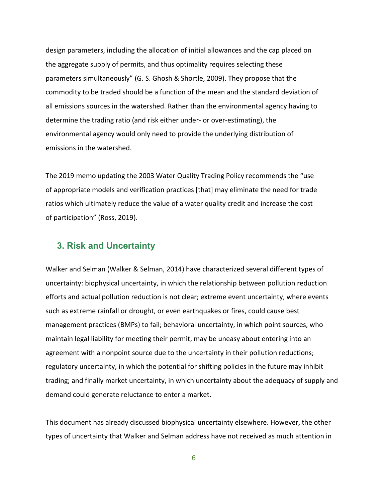design parameters, including the allocation of initial allowances and the cap placed on the aggregate supply of permits, and thus optimality requires selecting these parameters simultaneously" (G. S. Ghosh & Shortle, 2009). They propose that the commodity to be traded should be a function of the mean and the standard deviation of all emissions sources in the watershed. Rather than the environmental agency having to determine the trading ratio (and risk either under- or over-estimating), the environmental agency would only need to provide the underlying distribution of emissions in the watershed.

The 2019 memo updating the 2003 Water Quality Trading Policy recommends the "use of appropriate models and verification practices [that] may eliminate the need for trade ratios which ultimately reduce the value of a water quality credit and increase the cost of participation" (Ross, 2019).

# **3. Risk and Uncertainty**

Walker and Selman (Walker & Selman, 2014) have characterized several different types of uncertainty: biophysical uncertainty, in which the relationship between pollution reduction efforts and actual pollution reduction is not clear; extreme event uncertainty, where events such as extreme rainfall or drought, or even earthquakes or fires, could cause best management practices (BMPs) to fail; behavioral uncertainty, in which point sources, who maintain legal liability for meeting their permit, may be uneasy about entering into an agreement with a nonpoint source due to the uncertainty in their pollution reductions; regulatory uncertainty, in which the potential for shifting policies in the future may inhibit trading; and finally market uncertainty, in which uncertainty about the adequacy of supply and demand could generate reluctance to enter a market.

This document has already discussed biophysical uncertainty elsewhere. However, the other types of uncertainty that Walker and Selman address have not received as much attention in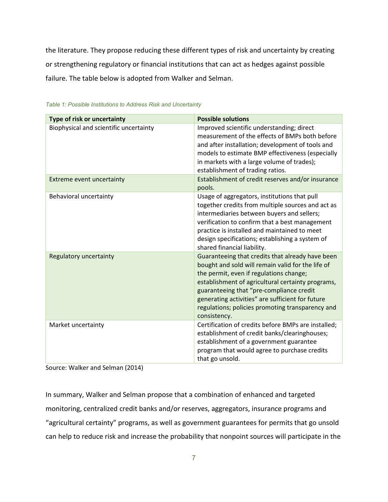the literature. They propose reducing these different types of risk and uncertainty by creating or strengthening regulatory or financial institutions that can act as hedges against possible failure. The table below is adopted from Walker and Selman.

| Type of risk or uncertainty                                         | <b>Possible solutions</b>                                                                                                                                                                                                                                                                                                                                                 |
|---------------------------------------------------------------------|---------------------------------------------------------------------------------------------------------------------------------------------------------------------------------------------------------------------------------------------------------------------------------------------------------------------------------------------------------------------------|
| Biophysical and scientific uncertainty<br>Extreme event uncertainty | Improved scientific understanding; direct<br>measurement of the effects of BMPs both before<br>and after installation; development of tools and<br>models to estimate BMP effectiveness (especially<br>in markets with a large volume of trades);<br>establishment of trading ratios.<br>Establishment of credit reserves and/or insurance                                |
|                                                                     | pools.                                                                                                                                                                                                                                                                                                                                                                    |
| Behavioral uncertainty                                              | Usage of aggregators, institutions that pull<br>together credits from multiple sources and act as<br>intermediaries between buyers and sellers;<br>verification to confirm that a best management<br>practice is installed and maintained to meet<br>design specifications; establishing a system of<br>shared financial liability.                                       |
| Regulatory uncertainty                                              | Guaranteeing that credits that already have been<br>bought and sold will remain valid for the life of<br>the permit, even if regulations change;<br>establishment of agricultural certainty programs,<br>guaranteeing that "pre-compliance credit<br>generating activities" are sufficient for future<br>regulations; policies promoting transparency and<br>consistency. |
| Market uncertainty                                                  | Certification of credits before BMPs are installed;<br>establishment of credit banks/clearinghouses;<br>establishment of a government guarantee<br>program that would agree to purchase credits<br>that go unsold.                                                                                                                                                        |

*Table 1: Possible Institutions to Address Risk and Uncertainty*

Source: Walker and Selman (2014)

In summary, Walker and Selman propose that a combination of enhanced and targeted monitoring, centralized credit banks and/or reserves, aggregators, insurance programs and "agricultural certainty" programs, as well as government guarantees for permits that go unsold can help to reduce risk and increase the probability that nonpoint sources will participate in the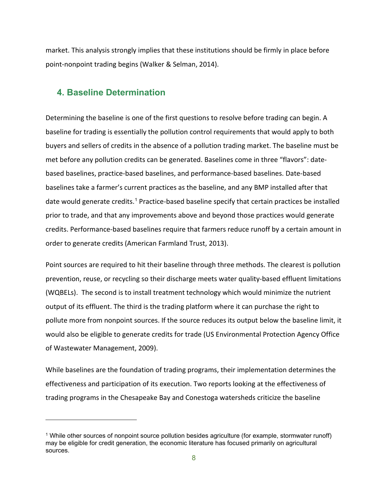market. This analysis strongly implies that these institutions should be firmly in place before point-nonpoint trading begins (Walker & Selman, 2014).

# **4. Baseline Determination**

Determining the baseline is one of the first questions to resolve before trading can begin. A baseline for trading is essentially the pollution control requirements that would apply to both buyers and sellers of credits in the absence of a pollution trading market. The baseline must be met before any pollution credits can be generated. Baselines come in three "flavors": datebased baselines, practice-based baselines, and performance-based baselines. Date-based baselines take a farmer's current practices as the baseline, and any BMP installed after that date would generate credits.<sup>[1](#page-8-0)</sup> Practice-based baseline specify that certain practices be installed prior to trade, and that any improvements above and beyond those practices would generate credits. Performance-based baselines require that farmers reduce runoff by a certain amount in order to generate credits (American Farmland Trust, 2013).

Point sources are required to hit their baseline through three methods. The clearest is pollution prevention, reuse, or recycling so their discharge meets water quality-based effluent limitations (WQBELs). The second is to install treatment technology which would minimize the nutrient output of its effluent. The third is the trading platform where it can purchase the right to pollute more from nonpoint sources. If the source reduces its output below the baseline limit, it would also be eligible to generate credits for trade (US Environmental Protection Agency Office of Wastewater Management, 2009).

While baselines are the foundation of trading programs, their implementation determines the effectiveness and participation of its execution. Two reports looking at the effectiveness of trading programs in the Chesapeake Bay and Conestoga watersheds criticize the baseline

<span id="page-8-0"></span><sup>&</sup>lt;sup>1</sup> While other sources of nonpoint source pollution besides agriculture (for example, stormwater runoff) may be eligible for credit generation, the economic literature has focused primarily on agricultural sources.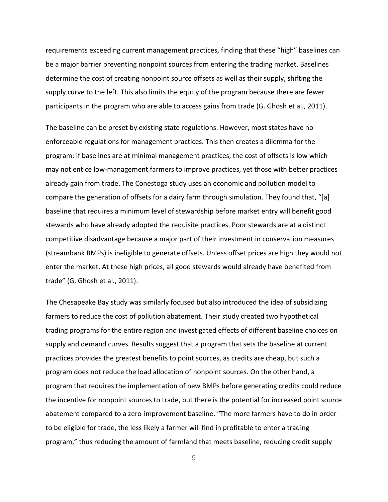requirements exceeding current management practices, finding that these "high" baselines can be a major barrier preventing nonpoint sources from entering the trading market. Baselines determine the cost of creating nonpoint source offsets as well as their supply, shifting the supply curve to the left. This also limits the equity of the program because there are fewer participants in the program who are able to access gains from trade (G. Ghosh et al., 2011).

The baseline can be preset by existing state regulations. However, most states have no enforceable regulations for management practices. This then creates a dilemma for the program: if baselines are at minimal management practices, the cost of offsets is low which may not entice low-management farmers to improve practices, yet those with better practices already gain from trade. The Conestoga study uses an economic and pollution model to compare the generation of offsets for a dairy farm through simulation. They found that, "[a] baseline that requires a minimum level of stewardship before market entry will benefit good stewards who have already adopted the requisite practices. Poor stewards are at a distinct competitive disadvantage because a major part of their investment in conservation measures (streambank BMPs) is ineligible to generate offsets. Unless offset prices are high they would not enter the market. At these high prices, all good stewards would already have benefited from trade" (G. Ghosh et al., 2011).

The Chesapeake Bay study was similarly focused but also introduced the idea of subsidizing farmers to reduce the cost of pollution abatement. Their study created two hypothetical trading programs for the entire region and investigated effects of different baseline choices on supply and demand curves. Results suggest that a program that sets the baseline at current practices provides the greatest benefits to point sources, as credits are cheap, but such a program does not reduce the load allocation of nonpoint sources. On the other hand, a program that requires the implementation of new BMPs before generating credits could reduce the incentive for nonpoint sources to trade, but there is the potential for increased point source abatement compared to a zero-improvement baseline. "The more farmers have to do in order to be eligible for trade, the less likely a farmer will find in profitable to enter a trading program," thus reducing the amount of farmland that meets baseline, reducing credit supply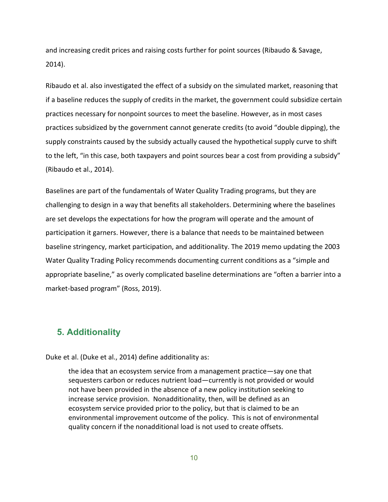and increasing credit prices and raising costs further for point sources (Ribaudo & Savage, 2014).

Ribaudo et al. also investigated the effect of a subsidy on the simulated market, reasoning that if a baseline reduces the supply of credits in the market, the government could subsidize certain practices necessary for nonpoint sources to meet the baseline. However, as in most cases practices subsidized by the government cannot generate credits (to avoid "double dipping), the supply constraints caused by the subsidy actually caused the hypothetical supply curve to shift to the left, "in this case, both taxpayers and point sources bear a cost from providing a subsidy" (Ribaudo et al., 2014).

Baselines are part of the fundamentals of Water Quality Trading programs, but they are challenging to design in a way that benefits all stakeholders. Determining where the baselines are set develops the expectations for how the program will operate and the amount of participation it garners. However, there is a balance that needs to be maintained between baseline stringency, market participation, and additionality. The 2019 memo updating the 2003 Water Quality Trading Policy recommends documenting current conditions as a "simple and appropriate baseline," as overly complicated baseline determinations are "often a barrier into a market-based program" (Ross, 2019).

# **5. Additionality**

Duke et al. (Duke et al., 2014) define additionality as:

the idea that an ecosystem service from a management practice—say one that sequesters carbon or reduces nutrient load—currently is not provided or would not have been provided in the absence of a new policy institution seeking to increase service provision. Nonadditionality, then, will be defined as an ecosystem service provided prior to the policy, but that is claimed to be an environmental improvement outcome of the policy. This is not of environmental quality concern if the nonadditional load is not used to create offsets.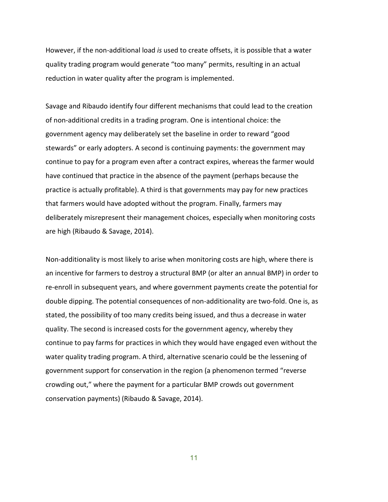However, if the non-additional load *is* used to create offsets, it is possible that a water quality trading program would generate "too many" permits, resulting in an actual reduction in water quality after the program is implemented.

Savage and Ribaudo identify four different mechanisms that could lead to the creation of non-additional credits in a trading program. One is intentional choice: the government agency may deliberately set the baseline in order to reward "good stewards" or early adopters. A second is continuing payments: the government may continue to pay for a program even after a contract expires, whereas the farmer would have continued that practice in the absence of the payment (perhaps because the practice is actually profitable). A third is that governments may pay for new practices that farmers would have adopted without the program. Finally, farmers may deliberately misrepresent their management choices, especially when monitoring costs are high (Ribaudo & Savage, 2014).

Non-additionality is most likely to arise when monitoring costs are high, where there is an incentive for farmers to destroy a structural BMP (or alter an annual BMP) in order to re-enroll in subsequent years, and where government payments create the potential for double dipping. The potential consequences of non-additionality are two-fold. One is, as stated, the possibility of too many credits being issued, and thus a decrease in water quality. The second is increased costs for the government agency, whereby they continue to pay farms for practices in which they would have engaged even without the water quality trading program. A third, alternative scenario could be the lessening of government support for conservation in the region (a phenomenon termed "reverse crowding out," where the payment for a particular BMP crowds out government conservation payments) (Ribaudo & Savage, 2014).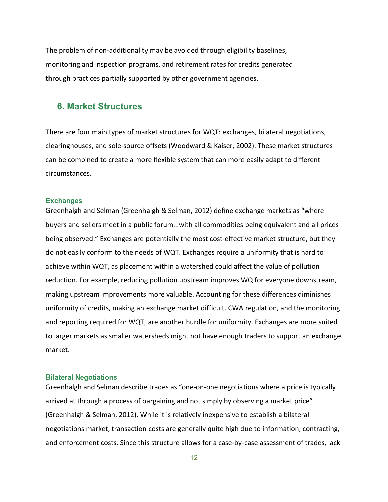The problem of non-additionality may be avoided through eligibility baselines, monitoring and inspection programs, and retirement rates for credits generated through practices partially supported by other government agencies.

# **6. Market Structures**

There are four main types of market structures for WQT: exchanges, bilateral negotiations, clearinghouses, and sole-source offsets (Woodward & Kaiser, 2002). These market structures can be combined to create a more flexible system that can more easily adapt to different circumstances.

#### **Exchanges**

Greenhalgh and Selman (Greenhalgh & Selman, 2012) define exchange markets as "where buyers and sellers meet in a public forum...with all commodities being equivalent and all prices being observed." Exchanges are potentially the most cost-effective market structure, but they do not easily conform to the needs of WQT. Exchanges require a uniformity that is hard to achieve within WQT, as placement within a watershed could affect the value of pollution reduction. For example, reducing pollution upstream improves WQ for everyone downstream, making upstream improvements more valuable. Accounting for these differences diminishes uniformity of credits, making an exchange market difficult. CWA regulation, and the monitoring and reporting required for WQT, are another hurdle for uniformity. Exchanges are more suited to larger markets as smaller watersheds might not have enough traders to support an exchange market.

#### **Bilateral Negotiations**

Greenhalgh and Selman describe trades as "one-on-one negotiations where a price is typically arrived at through a process of bargaining and not simply by observing a market price" (Greenhalgh & Selman, 2012). While it is relatively inexpensive to establish a bilateral negotiations market, transaction costs are generally quite high due to information, contracting, and enforcement costs. Since this structure allows for a case-by-case assessment of trades, lack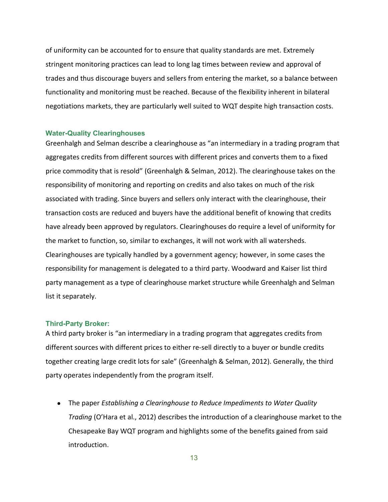of uniformity can be accounted for to ensure that quality standards are met. Extremely stringent monitoring practices can lead to long lag times between review and approval of trades and thus discourage buyers and sellers from entering the market, so a balance between functionality and monitoring must be reached. Because of the flexibility inherent in bilateral negotiations markets, they are particularly well suited to WQT despite high transaction costs.

#### **Water-Quality Clearinghouses**

Greenhalgh and Selman describe a clearinghouse as "an intermediary in a trading program that aggregates credits from different sources with different prices and converts them to a fixed price commodity that is resold" (Greenhalgh & Selman, 2012). The clearinghouse takes on the responsibility of monitoring and reporting on credits and also takes on much of the risk associated with trading. Since buyers and sellers only interact with the clearinghouse, their transaction costs are reduced and buyers have the additional benefit of knowing that credits have already been approved by regulators. Clearinghouses do require a level of uniformity for the market to function, so, similar to exchanges, it will not work with all watersheds. Clearinghouses are typically handled by a government agency; however, in some cases the responsibility for management is delegated to a third party. Woodward and Kaiser list third party management as a type of clearinghouse market structure while Greenhalgh and Selman list it separately.

#### **Third-Party Broker:**

A third party broker is "an intermediary in a trading program that aggregates credits from different sources with different prices to either re-sell directly to a buyer or bundle credits together creating large credit lots for sale" (Greenhalgh & Selman, 2012). Generally, the third party operates independently from the program itself.

● The paper *Establishing a Clearinghouse to Reduce Impediments to Water Quality Trading* (O'Hara et al., 2012) describes the introduction of a clearinghouse market to the Chesapeake Bay WQT program and highlights some of the benefits gained from said introduction.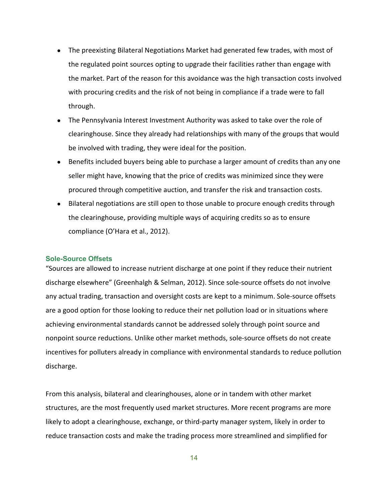- The preexisting Bilateral Negotiations Market had generated few trades, with most of the regulated point sources opting to upgrade their facilities rather than engage with the market. Part of the reason for this avoidance was the high transaction costs involved with procuring credits and the risk of not being in compliance if a trade were to fall through.
- The Pennsylvania Interest Investment Authority was asked to take over the role of clearinghouse. Since they already had relationships with many of the groups that would be involved with trading, they were ideal for the position.
- Benefits included buyers being able to purchase a larger amount of credits than any one seller might have, knowing that the price of credits was minimized since they were procured through competitive auction, and transfer the risk and transaction costs.
- Bilateral negotiations are still open to those unable to procure enough credits through the clearinghouse, providing multiple ways of acquiring credits so as to ensure compliance (O'Hara et al., 2012).

#### **Sole-Source Offsets**

"Sources are allowed to increase nutrient discharge at one point if they reduce their nutrient discharge elsewhere" (Greenhalgh & Selman, 2012). Since sole-source offsets do not involve any actual trading, transaction and oversight costs are kept to a minimum. Sole-source offsets are a good option for those looking to reduce their net pollution load or in situations where achieving environmental standards cannot be addressed solely through point source and nonpoint source reductions. Unlike other market methods, sole-source offsets do not create incentives for polluters already in compliance with environmental standards to reduce pollution discharge.

From this analysis, bilateral and clearinghouses, alone or in tandem with other market structures, are the most frequently used market structures. More recent programs are more likely to adopt a clearinghouse, exchange, or third-party manager system, likely in order to reduce transaction costs and make the trading process more streamlined and simplified for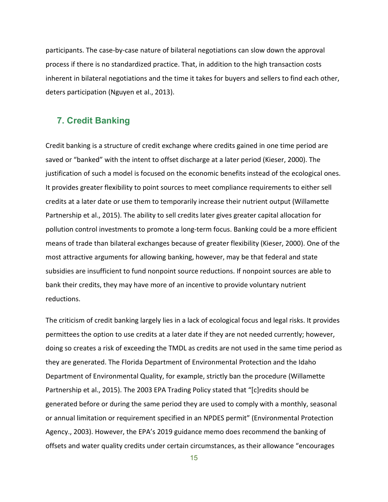participants. The case-by-case nature of bilateral negotiations can slow down the approval process if there is no standardized practice. That, in addition to the high transaction costs inherent in bilateral negotiations and the time it takes for buyers and sellers to find each other, deters participation (Nguyen et al., 2013).

# **7. Credit Banking**

Credit banking is a structure of credit exchange where credits gained in one time period are saved or "banked" with the intent to offset discharge at a later period (Kieser, 2000). The justification of such a model is focused on the economic benefits instead of the ecological ones. It provides greater flexibility to point sources to meet compliance requirements to either sell credits at a later date or use them to temporarily increase their nutrient output (Willamette Partnership et al., 2015). The ability to sell credits later gives greater capital allocation for pollution control investments to promote a long-term focus. Banking could be a more efficient means of trade than bilateral exchanges because of greater flexibility (Kieser, 2000). One of the most attractive arguments for allowing banking, however, may be that federal and state subsidies are insufficient to fund nonpoint source reductions. If nonpoint sources are able to bank their credits, they may have more of an incentive to provide voluntary nutrient reductions.

The criticism of credit banking largely lies in a lack of ecological focus and legal risks. It provides permittees the option to use credits at a later date if they are not needed currently; however, doing so creates a risk of exceeding the TMDL as credits are not used in the same time period as they are generated. The Florida Department of Environmental Protection and the Idaho Department of Environmental Quality, for example, strictly ban the procedure (Willamette Partnership et al., 2015). The 2003 EPA Trading Policy stated that "[c]redits should be generated before or during the same period they are used to comply with a monthly, seasonal or annual limitation or requirement specified in an NPDES permit" (Environmental Protection Agency., 2003). However, the EPA's 2019 guidance memo does recommend the banking of offsets and water quality credits under certain circumstances, as their allowance "encourages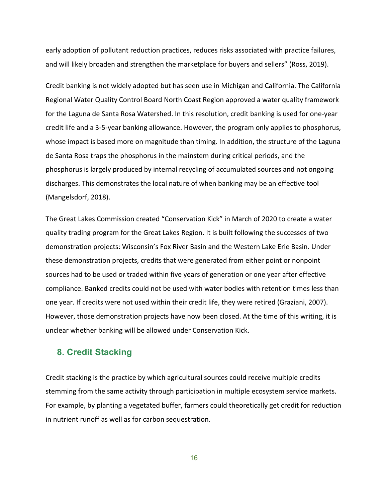early adoption of pollutant reduction practices, reduces risks associated with practice failures, and will likely broaden and strengthen the marketplace for buyers and sellers" (Ross, 2019).

Credit banking is not widely adopted but has seen use in Michigan and California. The California Regional Water Quality Control Board North Coast Region approved a water quality framework for the Laguna de Santa Rosa Watershed. In this resolution, credit banking is used for one-year credit life and a 3-5-year banking allowance. However, the program only applies to phosphorus, whose impact is based more on magnitude than timing. In addition, the structure of the Laguna de Santa Rosa traps the phosphorus in the mainstem during critical periods, and the phosphorus is largely produced by internal recycling of accumulated sources and not ongoing discharges. This demonstrates the local nature of when banking may be an effective tool (Mangelsdorf, 2018).

The Great Lakes Commission created "Conservation Kick" in March of 2020 to create a water quality trading program for the Great Lakes Region. It is built following the successes of two demonstration projects: Wisconsin's Fox River Basin and the Western Lake Erie Basin. Under these demonstration projects, credits that were generated from either point or nonpoint sources had to be used or traded within five years of generation or one year after effective compliance. Banked credits could not be used with water bodies with retention times less than one year. If credits were not used within their credit life, they were retired (Graziani, 2007). However, those demonstration projects have now been closed. At the time of this writing, it is unclear whether banking will be allowed under Conservation Kick.

# **8. Credit Stacking**

Credit stacking is the practice by which agricultural sources could receive multiple credits stemming from the same activity through participation in multiple ecosystem service markets. For example, by planting a vegetated buffer, farmers could theoretically get credit for reduction in nutrient runoff as well as for carbon sequestration.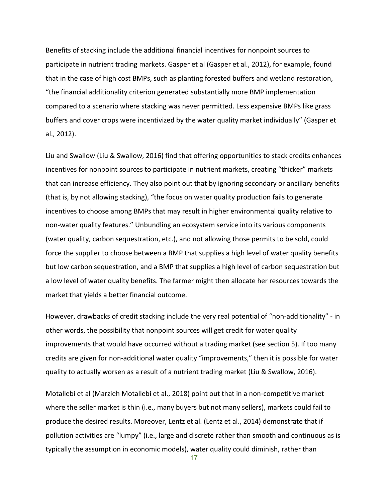Benefits of stacking include the additional financial incentives for nonpoint sources to participate in nutrient trading markets. Gasper et al (Gasper et al., 2012), for example, found that in the case of high cost BMPs, such as planting forested buffers and wetland restoration, "the financial additionality criterion generated substantially more BMP implementation compared to a scenario where stacking was never permitted. Less expensive BMPs like grass buffers and cover crops were incentivized by the water quality market individually" (Gasper et al., 2012).

Liu and Swallow (Liu & Swallow, 2016) find that offering opportunities to stack credits enhances incentives for nonpoint sources to participate in nutrient markets, creating "thicker" markets that can increase efficiency. They also point out that by ignoring secondary or ancillary benefits (that is, by not allowing stacking), "the focus on water quality production fails to generate incentives to choose among BMPs that may result in higher environmental quality relative to non-water quality features." Unbundling an ecosystem service into its various components (water quality, carbon sequestration, etc.), and not allowing those permits to be sold, could force the supplier to choose between a BMP that supplies a high level of water quality benefits but low carbon sequestration, and a BMP that supplies a high level of carbon sequestration but a low level of water quality benefits. The farmer might then allocate her resources towards the market that yields a better financial outcome.

However, drawbacks of credit stacking include the very real potential of "non-additionality" - in other words, the possibility that nonpoint sources will get credit for water quality improvements that would have occurred without a trading market (see section 5). If too many credits are given for non-additional water quality "improvements," then it is possible for water quality to actually worsen as a result of a nutrient trading market (Liu & Swallow, 2016).

Motallebi et al (Marzieh Motallebi et al., 2018) point out that in a non-competitive market where the seller market is thin (i.e., many buyers but not many sellers), markets could fail to produce the desired results. Moreover, Lentz et al. (Lentz et al., 2014) demonstrate that if pollution activities are "lumpy" (i.e., large and discrete rather than smooth and continuous as is typically the assumption in economic models), water quality could diminish, rather than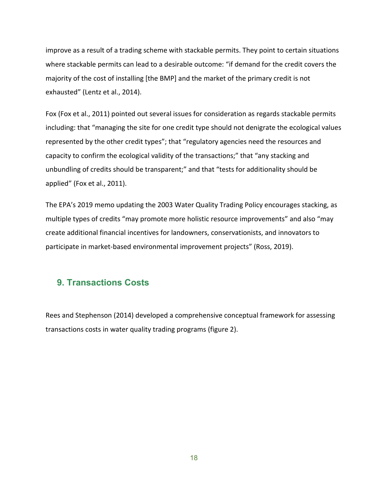improve as a result of a trading scheme with stackable permits. They point to certain situations where stackable permits can lead to a desirable outcome: "if demand for the credit covers the majority of the cost of installing [the BMP] and the market of the primary credit is not exhausted" (Lentz et al., 2014).

Fox (Fox et al., 2011) pointed out several issues for consideration as regards stackable permits including: that "managing the site for one credit type should not denigrate the ecological values represented by the other credit types"; that "regulatory agencies need the resources and capacity to confirm the ecological validity of the transactions;" that "any stacking and unbundling of credits should be transparent;" and that "tests for additionality should be applied" (Fox et al., 2011).

The EPA's 2019 memo updating the 2003 Water Quality Trading Policy encourages stacking, as multiple types of credits "may promote more holistic resource improvements" and also "may create additional financial incentives for landowners, conservationists, and innovators to participate in market-based environmental improvement projects" (Ross, 2019).

# **9. Transactions Costs**

Rees and Stephenson (2014) developed a comprehensive conceptual framework for assessing transactions costs in water quality trading programs (figure 2).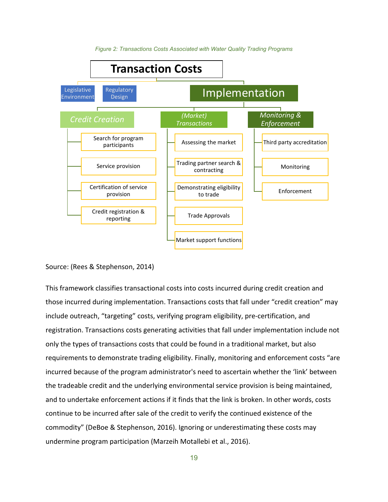



#### Source: (Rees & Stephenson, 2014)

This framework classifies transactional costs into costs incurred during credit creation and those incurred during implementation. Transactions costs that fall under "credit creation" may include outreach, "targeting" costs, verifying program eligibility, pre-certification, and registration. Transactions costs generating activities that fall under implementation include not only the types of transactions costs that could be found in a traditional market, but also requirements to demonstrate trading eligibility. Finally, monitoring and enforcement costs "are incurred because of the program administrator's need to ascertain whether the 'link' between the tradeable credit and the underlying environmental service provision is being maintained, and to undertake enforcement actions if it finds that the link is broken. In other words, costs continue to be incurred after sale of the credit to verify the continued existence of the commodity" (DeBoe & Stephenson, 2016). Ignoring or underestimating these costs may undermine program participation (Marzeih Motallebi et al., 2016).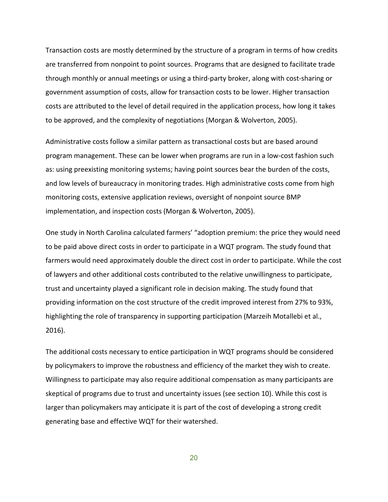Transaction costs are mostly determined by the structure of a program in terms of how credits are transferred from nonpoint to point sources. Programs that are designed to facilitate trade through monthly or annual meetings or using a third-party broker, along with cost-sharing or government assumption of costs, allow for transaction costs to be lower. Higher transaction costs are attributed to the level of detail required in the application process, how long it takes to be approved, and the complexity of negotiations (Morgan & Wolverton, 2005).

Administrative costs follow a similar pattern as transactional costs but are based around program management. These can be lower when programs are run in a low-cost fashion such as: using preexisting monitoring systems; having point sources bear the burden of the costs, and low levels of bureaucracy in monitoring trades. High administrative costs come from high monitoring costs, extensive application reviews, oversight of nonpoint source BMP implementation, and inspection costs (Morgan & Wolverton, 2005).

One study in North Carolina calculated farmers' "adoption premium: the price they would need to be paid above direct costs in order to participate in a WQT program. The study found that farmers would need approximately double the direct cost in order to participate. While the cost of lawyers and other additional costs contributed to the relative unwillingness to participate, trust and uncertainty played a significant role in decision making. The study found that providing information on the cost structure of the credit improved interest from 27% to 93%, highlighting the role of transparency in supporting participation (Marzeih Motallebi et al., 2016).

The additional costs necessary to entice participation in WQT programs should be considered by policymakers to improve the robustness and efficiency of the market they wish to create. Willingness to participate may also require additional compensation as many participants are skeptical of programs due to trust and uncertainty issues (see section 10). While this cost is larger than policymakers may anticipate it is part of the cost of developing a strong credit generating base and effective WQT for their watershed.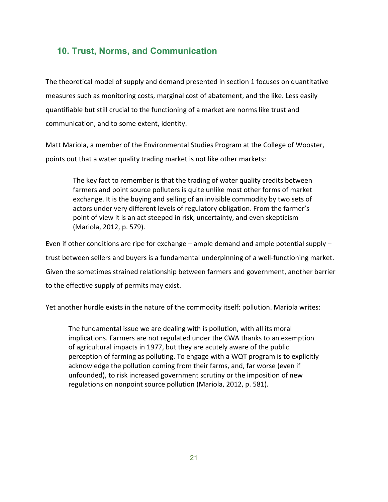# **10. Trust, Norms, and Communication**

The theoretical model of supply and demand presented in section 1 focuses on quantitative measures such as monitoring costs, marginal cost of abatement, and the like. Less easily quantifiable but still crucial to the functioning of a market are norms like trust and communication, and to some extent, identity.

Matt Mariola, a member of the Environmental Studies Program at the College of Wooster, points out that a water quality trading market is not like other markets:

The key fact to remember is that the trading of water quality credits between farmers and point source polluters is quite unlike most other forms of market exchange. It is the buying and selling of an invisible commodity by two sets of actors under very different levels of regulatory obligation. From the farmer's point of view it is an act steeped in risk, uncertainty, and even skepticism (Mariola, 2012, p. 579).

Even if other conditions are ripe for exchange – ample demand and ample potential supply – trust between sellers and buyers is a fundamental underpinning of a well-functioning market. Given the sometimes strained relationship between farmers and government, another barrier to the effective supply of permits may exist.

Yet another hurdle exists in the nature of the commodity itself: pollution. Mariola writes:

The fundamental issue we are dealing with is pollution, with all its moral implications. Farmers are not regulated under the CWA thanks to an exemption of agricultural impacts in 1977, but they are acutely aware of the public perception of farming as polluting. To engage with a WQT program is to explicitly acknowledge the pollution coming from their farms, and, far worse (even if unfounded), to risk increased government scrutiny or the imposition of new regulations on nonpoint source pollution (Mariola, 2012, p. 581).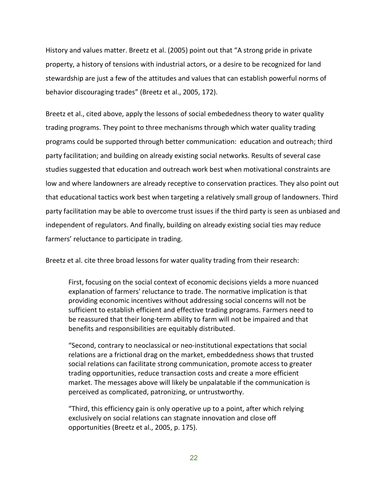History and values matter. Breetz et al. (2005) point out that "A strong pride in private property, a history of tensions with industrial actors, or a desire to be recognized for land stewardship are just a few of the attitudes and values that can establish powerful norms of behavior discouraging trades" (Breetz et al., 2005, 172).

Breetz et al., cited above, apply the lessons of social embededness theory to water quality trading programs. They point to three mechanisms through which water quality trading programs could be supported through better communication: education and outreach; third party facilitation; and building on already existing social networks. Results of several case studies suggested that education and outreach work best when motivational constraints are low and where landowners are already receptive to conservation practices. They also point out that educational tactics work best when targeting a relatively small group of landowners. Third party facilitation may be able to overcome trust issues if the third party is seen as unbiased and independent of regulators. And finally, building on already existing social ties may reduce farmers' reluctance to participate in trading.

Breetz et al. cite three broad lessons for water quality trading from their research:

First, focusing on the social context of economic decisions yields a more nuanced explanation of farmers' reluctance to trade. The normative implication is that providing economic incentives without addressing social concerns will not be sufficient to establish efficient and effective trading programs. Farmers need to be reassured that their long-term ability to farm will not be impaired and that benefits and responsibilities are equitably distributed.

"Second, contrary to neoclassical or neo-institutional expectations that social relations are a frictional drag on the market, embeddedness shows that trusted social relations can facilitate strong communication, promote access to greater trading opportunities, reduce transaction costs and create a more efficient market. The messages above will likely be unpalatable if the communication is perceived as complicated, patronizing, or untrustworthy.

"Third, this efficiency gain is only operative up to a point, after which relying exclusively on social relations can stagnate innovation and close off opportunities (Breetz et al., 2005, p. 175).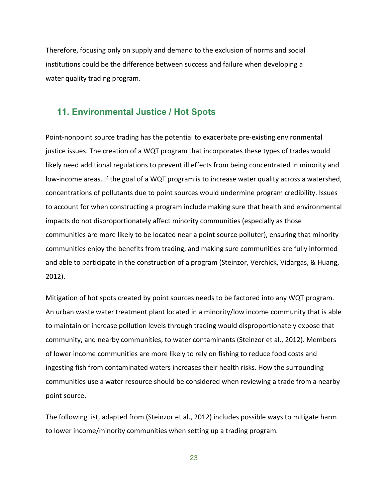Therefore, focusing only on supply and demand to the exclusion of norms and social institutions could be the difference between success and failure when developing a water quality trading program.

# **11. Environmental Justice / Hot Spots**

Point-nonpoint source trading has the potential to exacerbate pre-existing environmental justice issues. The creation of a WQT program that incorporates these types of trades would likely need additional regulations to prevent ill effects from being concentrated in minority and low-income areas. If the goal of a WQT program is to increase water quality across a watershed, concentrations of pollutants due to point sources would undermine program credibility. Issues to account for when constructing a program include making sure that health and environmental impacts do not disproportionately affect minority communities (especially as those communities are more likely to be located near a point source polluter), ensuring that minority communities enjoy the benefits from trading, and making sure communities are fully informed and able to participate in the construction of a program (Steinzor, Verchick, Vidargas, & Huang, 2012).

Mitigation of hot spots created by point sources needs to be factored into any WQT program. An urban waste water treatment plant located in a minority/low income community that is able to maintain or increase pollution levels through trading would disproportionately expose that community, and nearby communities, to water contaminants (Steinzor et al., 2012). Members of lower income communities are more likely to rely on fishing to reduce food costs and ingesting fish from contaminated waters increases their health risks. How the surrounding communities use a water resource should be considered when reviewing a trade from a nearby point source.

The following list, adapted from (Steinzor et al., 2012) includes possible ways to mitigate harm to lower income/minority communities when setting up a trading program.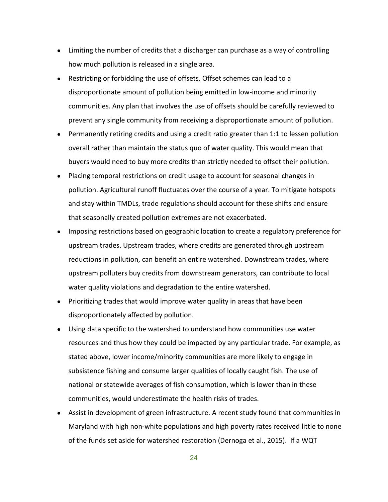- Limiting the number of credits that a discharger can purchase as a way of controlling how much pollution is released in a single area.
- Restricting or forbidding the use of offsets. Offset schemes can lead to a disproportionate amount of pollution being emitted in low-income and minority communities. Any plan that involves the use of offsets should be carefully reviewed to prevent any single community from receiving a disproportionate amount of pollution.
- Permanently retiring credits and using a credit ratio greater than 1:1 to lessen pollution overall rather than maintain the status quo of water quality. This would mean that buyers would need to buy more credits than strictly needed to offset their pollution.
- Placing temporal restrictions on credit usage to account for seasonal changes in pollution. Agricultural runoff fluctuates over the course of a year. To mitigate hotspots and stay within TMDLs, trade regulations should account for these shifts and ensure that seasonally created pollution extremes are not exacerbated.
- Imposing restrictions based on geographic location to create a regulatory preference for upstream trades. Upstream trades, where credits are generated through upstream reductions in pollution, can benefit an entire watershed. Downstream trades, where upstream polluters buy credits from downstream generators, can contribute to local water quality violations and degradation to the entire watershed.
- Prioritizing trades that would improve water quality in areas that have been disproportionately affected by pollution.
- Using data specific to the watershed to understand how communities use water resources and thus how they could be impacted by any particular trade. For example, as stated above, lower income/minority communities are more likely to engage in subsistence fishing and consume larger qualities of locally caught fish. The use of national or statewide averages of fish consumption, which is lower than in these communities, would underestimate the health risks of trades.
- Assist in development of green infrastructure. A recent study found that communities in Maryland with high non-white populations and high poverty rates received little to none of the funds set aside for watershed restoration (Dernoga et al., 2015). If a WQT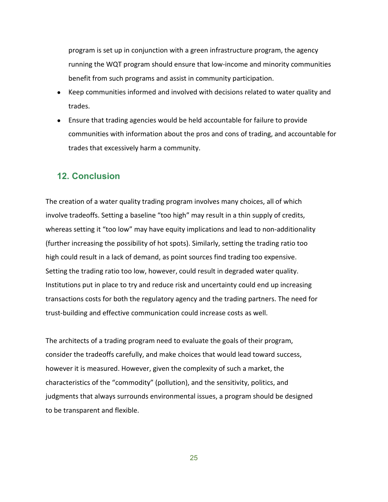program is set up in conjunction with a green infrastructure program, the agency running the WQT program should ensure that low-income and minority communities benefit from such programs and assist in community participation.

- Keep communities informed and involved with decisions related to water quality and trades.
- Ensure that trading agencies would be held accountable for failure to provide communities with information about the pros and cons of trading, and accountable for trades that excessively harm a community.

# **12. Conclusion**

The creation of a water quality trading program involves many choices, all of which involve tradeoffs. Setting a baseline "too high" may result in a thin supply of credits, whereas setting it "too low" may have equity implications and lead to non-additionality (further increasing the possibility of hot spots). Similarly, setting the trading ratio too high could result in a lack of demand, as point sources find trading too expensive. Setting the trading ratio too low, however, could result in degraded water quality. Institutions put in place to try and reduce risk and uncertainty could end up increasing transactions costs for both the regulatory agency and the trading partners. The need for trust-building and effective communication could increase costs as well.

The architects of a trading program need to evaluate the goals of their program, consider the tradeoffs carefully, and make choices that would lead toward success, however it is measured. However, given the complexity of such a market, the characteristics of the "commodity" (pollution), and the sensitivity, politics, and judgments that always surrounds environmental issues, a program should be designed to be transparent and flexible.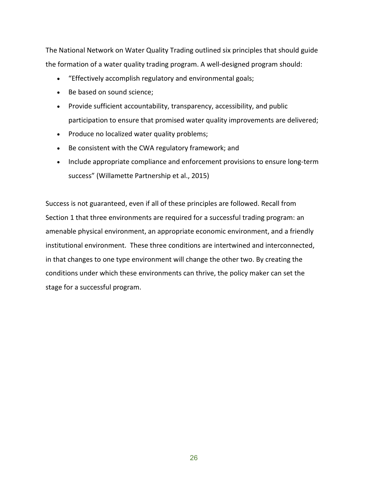The National Network on Water Quality Trading outlined six principles that should guide the formation of a water quality trading program. A well-designed program should:

- "Effectively accomplish regulatory and environmental goals;
- Be based on sound science;
- Provide sufficient accountability, transparency, accessibility, and public participation to ensure that promised water quality improvements are delivered;
- Produce no localized water quality problems;
- Be consistent with the CWA regulatory framework; and
- Include appropriate compliance and enforcement provisions to ensure long-term success" (Willamette Partnership et al., 2015)

Success is not guaranteed, even if all of these principles are followed. Recall from Section 1 that three environments are required for a successful trading program: an amenable physical environment, an appropriate economic environment, and a friendly institutional environment. These three conditions are intertwined and interconnected, in that changes to one type environment will change the other two. By creating the conditions under which these environments can thrive, the policy maker can set the stage for a successful program.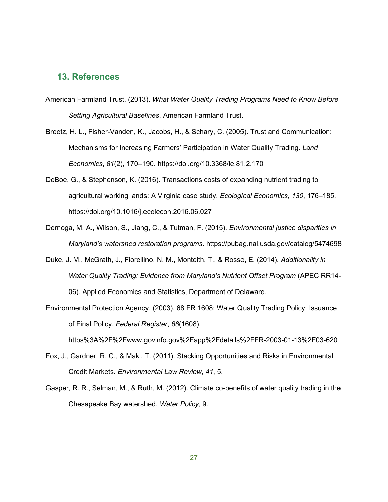# **13. References**

- American Farmland Trust. (2013). *What Water Quality Trading Programs Need to Know Before Setting Agricultural Baselines*. American Farmland Trust.
- Breetz, H. L., Fisher-Vanden, K., Jacobs, H., & Schary, C. (2005). Trust and Communication: Mechanisms for Increasing Farmers' Participation in Water Quality Trading. *Land Economics*, *81*(2), 170–190. https://doi.org/10.3368/le.81.2.170
- DeBoe, G., & Stephenson, K. (2016). Transactions costs of expanding nutrient trading to agricultural working lands: A Virginia case study. *Ecological Economics*, *130*, 176–185. https://doi.org/10.1016/j.ecolecon.2016.06.027
- Dernoga, M. A., Wilson, S., Jiang, C., & Tutman, F. (2015). *Environmental justice disparities in Maryland's watershed restoration programs*. https://pubag.nal.usda.gov/catalog/5474698
- Duke, J. M., McGrath, J., Fiorellino, N. M., Monteith, T., & Rosso, E. (2014). *Additionality in Water Quality Trading: Evidence from Maryland's Nutrient Offset Program* (APEC RR14- 06). Applied Economics and Statistics, Department of Delaware.
- Environmental Protection Agency. (2003). 68 FR 1608: Water Quality Trading Policy; Issuance of Final Policy. *Federal Register*, *68*(1608).

https%3A%2F%2Fwww.govinfo.gov%2Fapp%2Fdetails%2FFR-2003-01-13%2F03-620

- Fox, J., Gardner, R. C., & Maki, T. (2011). Stacking Opportunities and Risks in Environmental Credit Markets. *Environmental Law Review*, *41*, 5.
- Gasper, R. R., Selman, M., & Ruth, M. (2012). Climate co-benefits of water quality trading in the Chesapeake Bay watershed. *Water Policy*, 9.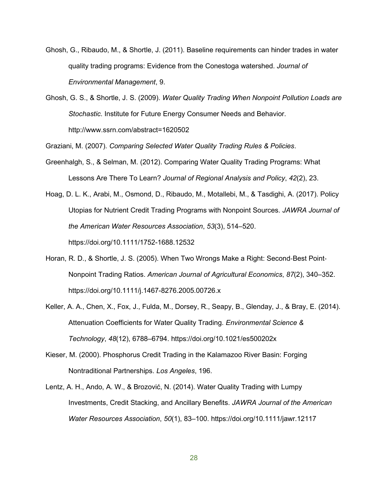- Ghosh, G., Ribaudo, M., & Shortle, J. (2011). Baseline requirements can hinder trades in water quality trading programs: Evidence from the Conestoga watershed. *Journal of Environmental Management*, 9.
- Ghosh, G. S., & Shortle, J. S. (2009). *Water Quality Trading When Nonpoint Pollution Loads are Stochastic*. Institute for Future Energy Consumer Needs and Behavior. http://www.ssrn.com/abstract=1620502

Graziani, M. (2007). *Comparing Selected Water Quality Trading Rules & Policies*.

- Greenhalgh, S., & Selman, M. (2012). Comparing Water Quality Trading Programs: What Lessons Are There To Learn? *Journal of Regional Analysis and Policy*, *42*(2), 23.
- Hoag, D. L. K., Arabi, M., Osmond, D., Ribaudo, M., Motallebi, M., & Tasdighi, A. (2017). Policy Utopias for Nutrient Credit Trading Programs with Nonpoint Sources. *JAWRA Journal of the American Water Resources Association*, *53*(3), 514–520. https://doi.org/10.1111/1752-1688.12532
- Horan, R. D., & Shortle, J. S. (2005). When Two Wrongs Make a Right: Second‐Best Point‐ Nonpoint Trading Ratios. *American Journal of Agricultural Economics*, *87*(2), 340–352. https://doi.org/10.1111/j.1467-8276.2005.00726.x
- Keller, A. A., Chen, X., Fox, J., Fulda, M., Dorsey, R., Seapy, B., Glenday, J., & Bray, E. (2014). Attenuation Coefficients for Water Quality Trading. *Environmental Science & Technology*, *48*(12), 6788–6794. https://doi.org/10.1021/es500202x
- Kieser, M. (2000). Phosphorus Credit Trading in the Kalamazoo River Basin: Forging Nontraditional Partnerships. *Los Angeles*, 196.
- Lentz, A. H., Ando, A. W., & Brozović, N. (2014). Water Quality Trading with Lumpy Investments, Credit Stacking, and Ancillary Benefits. *JAWRA Journal of the American Water Resources Association*, *50*(1), 83–100. https://doi.org/10.1111/jawr.12117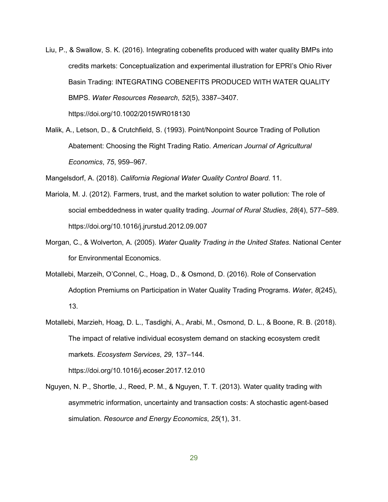- Liu, P., & Swallow, S. K. (2016). Integrating cobenefits produced with water quality BMPs into credits markets: Conceptualization and experimental illustration for EPRI's Ohio River Basin Trading: INTEGRATING COBENEFITS PRODUCED WITH WATER QUALITY BMPS. *Water Resources Research*, *52*(5), 3387–3407. https://doi.org/10.1002/2015WR018130
- Malik, A., Letson, D., & Crutchfield, S. (1993). Point/Nonpoint Source Trading of Pollution Abatement: Choosing the Right Trading Ratio. *American Journal of Agricultural Economics*, *75*, 959–967.

Mangelsdorf, A. (2018). *California Regional Water Quality Control Board*. 11.

- Mariola, M. J. (2012). Farmers, trust, and the market solution to water pollution: The role of social embeddedness in water quality trading. *Journal of Rural Studies*, *28*(4), 577–589. https://doi.org/10.1016/j.jrurstud.2012.09.007
- Morgan, C., & Wolverton, A. (2005). *Water Quality Trading in the United States*. National Center for Environmental Economics.
- Motallebi, Marzeih, O'Connel, C., Hoag, D., & Osmond, D. (2016). Role of Conservation Adoption Premiums on Participation in Water Quality Trading Programs. *Water*, *8*(245), 13.
- Motallebi, Marzieh, Hoag, D. L., Tasdighi, A., Arabi, M., Osmond, D. L., & Boone, R. B. (2018). The impact of relative individual ecosystem demand on stacking ecosystem credit markets. *Ecosystem Services*, *29*, 137–144. https://doi.org/10.1016/j.ecoser.2017.12.010
- Nguyen, N. P., Shortle, J., Reed, P. M., & Nguyen, T. T. (2013). Water quality trading with asymmetric information, uncertainty and transaction costs: A stochastic agent-based simulation. *Resource and Energy Economics*, *25*(1), 31.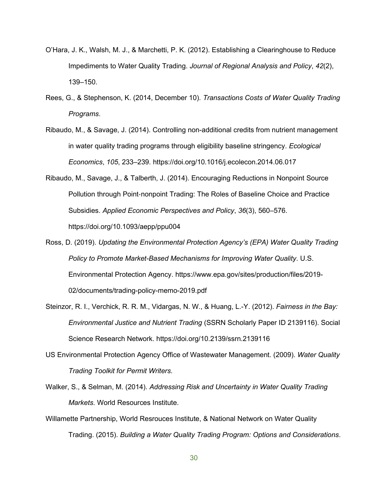- O'Hara, J. K., Walsh, M. J., & Marchetti, P. K. (2012). Establishing a Clearinghouse to Reduce Impediments to Water Quality Trading. *Journal of Regional Analysis and Policy*, *42*(2), 139–150.
- Rees, G., & Stephenson, K. (2014, December 10). *Transactions Costs of Water Quality Trading Programs*.
- Ribaudo, M., & Savage, J. (2014). Controlling non-additional credits from nutrient management in water quality trading programs through eligibility baseline stringency. *Ecological Economics*, *105*, 233–239. https://doi.org/10.1016/j.ecolecon.2014.06.017
- Ribaudo, M., Savage, J., & Talberth, J. (2014). Encouraging Reductions in Nonpoint Source Pollution through Point‐nonpoint Trading: The Roles of Baseline Choice and Practice Subsidies. *Applied Economic Perspectives and Policy*, *36*(3), 560–576. https://doi.org/10.1093/aepp/ppu004
- Ross, D. (2019). *Updating the Environmental Protection Agency's (EPA) Water Quality Trading Policy to Promote Market-Based Mechanisms for Improving Water Quality*. U.S. Environmental Protection Agency. https://www.epa.gov/sites/production/files/2019- 02/documents/trading-policy-memo-2019.pdf
- Steinzor, R. I., Verchick, R. R. M., Vidargas, N. W., & Huang, L.-Y. (2012). *Fairness in the Bay: Environmental Justice and Nutrient Trading* (SSRN Scholarly Paper ID 2139116). Social Science Research Network. https://doi.org/10.2139/ssrn.2139116
- US Environmental Protection Agency Office of Wastewater Management. (2009). *Water Quality Trading Toolkit for Permit Writers*.
- Walker, S., & Selman, M. (2014). *Addressing Risk and Uncertainty in Water Quality Trading Markets*. World Resources Institute.
- Willamette Partnership, World Resrouces Institute, & National Network on Water Quality Trading. (2015). *Building a Water Quality Trading Program: Options and Considerations*.